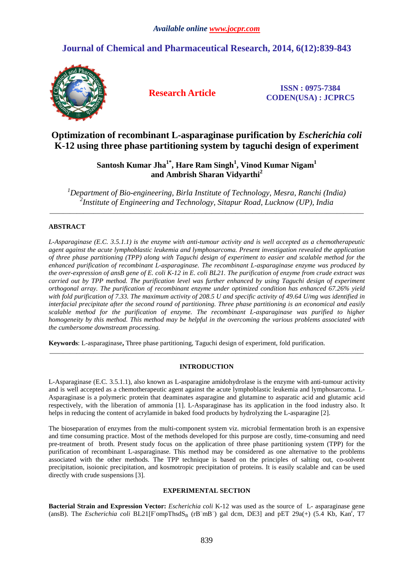# **Journal of Chemical and Pharmaceutical Research, 2014, 6(12):839-843**



**Research Article ISSN : 0975-7384 CODEN(USA) : JCPRC5**

## **Optimization of recombinant L-asparaginase purification by** *Escherichia coli*  **K-12 using three phase partitioning system by taguchi design of experiment**

## **Santosh Kumar Jha1\*, Hare Ram Singh<sup>1</sup> , Vinod Kumar Nigam<sup>1</sup> and Ambrish Sharan Vidyarthi<sup>2</sup>**

*<sup>1</sup>Department of Bio-engineering, Birla Institute of Technology, Mesra, Ranchi (India) 2 Institute of Engineering and Technology, Sitapur Road, Lucknow (UP), India*  \_\_\_\_\_\_\_\_\_\_\_\_\_\_\_\_\_\_\_\_\_\_\_\_\_\_\_\_\_\_\_\_\_\_\_\_\_\_\_\_\_\_\_\_\_\_\_\_\_\_\_\_\_\_\_\_\_\_\_\_\_\_\_\_\_\_\_\_\_\_\_\_\_\_\_\_\_\_\_\_\_\_\_\_\_\_\_\_\_\_\_\_\_

## **ABSTRACT**

*L-Asparaginase (E.C. 3.5.1.1) is the enzyme with anti-tumour activity and is well accepted as a chemotherapeutic agent against the acute lymphoblastic leukemia and lymphosarcoma. Present investigation revealed the application of three phase partitioning (TPP) along with Taguchi design of experiment to easier and scalable method for the enhanced purification of recombinant L-asparaginase. The recombinant L-asparaginase enzyme was produced by the over-expression of ansB gene of E. coli K-12 in E. coli BL21. The purification of enzyme from crude extract was carried out by TPP method. The purification level was further enhanced by using Taguchi design of experiment orthogonal array. The purification of recombinant enzyme under optimized condition has enhanced 67.26% yield with fold purification of 7.33. The maximum activity of 208.5 U and specific activity of 49.64 U/mg was identified in interfacial precipitate after the second round of partitioning. Three phase partitioning is an economical and easily scalable method for the purification of enzyme. The recombinant L-asparaginase was purified to higher homogeneity by this method. This method may be helpful in the overcoming the various problems associated with the cumbersome downstream processing.* 

**Keywords**: L-asparaginase**,** Three phase partitioning, Taguchi design of experiment, fold purification.

## **INTRODUCTION**

\_\_\_\_\_\_\_\_\_\_\_\_\_\_\_\_\_\_\_\_\_\_\_\_\_\_\_\_\_\_\_\_\_\_\_\_\_\_\_\_\_\_\_\_\_\_\_\_\_\_\_\_\_\_\_\_\_\_\_\_\_\_\_\_\_\_\_\_\_\_\_\_\_\_\_\_\_\_\_\_\_\_\_\_\_\_\_\_\_\_\_\_\_

L-Asparaginase (E.C. 3.5.1.1), also known as L-asparagine amidohydrolase is the enzyme with anti-tumour activity and is well accepted as a chemotherapeutic agent against the acute lymphoblastic leukemia and lymphosarcoma. L-Asparaginase is a polymeric protein that deaminates asparagine and glutamine to asparatic acid and glutamic acid respectively, with the liberation of ammonia [1]. L-Asparaginase has its application in the food industry also. It helps in reducing the content of acrylamide in baked food products by hydrolyzing the L-asparagine [2].

The bioseparation of enzymes from the multi-component system viz. microbial fermentation broth is an expensive and time consuming practice. Most of the methods developed for this purpose are costly, time-consuming and need pre-treatment of broth. Present study focus on the application of three phase partitioning system (TPP) for the purification of recombinant L-asparaginase. This method may be considered as one alternative to the problems associated with the other methods. The TPP technique is based on the principles of salting out, co-solvent precipitation, isoionic precipitation, and kosmotropic precipitation of proteins. It is easily scalable and can be used directly with crude suspensions [3].

#### **EXPERIMENTAL SECTION**

**Bacterial Strain and Expression Vector:** *Escherichia coli* K-12 was used as the source of L- asparaginase gene (ansB). The *Escherichia coli* BL21[FompThsdS<sub>B</sub> (rB<sup>-</sup>mB<sup>-</sup>) gal dcm, DE3] and pET 29a(+) (5.4 Kb, Kan<sup>r</sup>, T7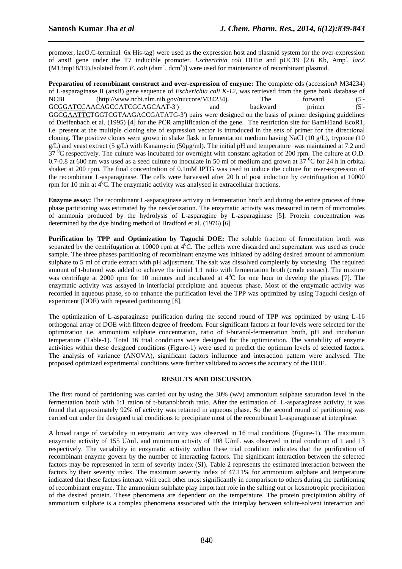promoter, lacO.C-terminal 6x His-tag) were used as the expression host and plasmid system for the over-expression of ansB gene under the T7 inducible promoter. *Escherichia coli* DH5α and pUC19 [2.6 Kb, Amp<sup>r</sup> , *lacZ*   $(M13mp18/19)$ , Isolated from *E. coli*  $(dam^+$ ,  $dcm^+)$ ] were used for maintenance of recombinant plasmid.

*\_\_\_\_\_\_\_\_\_\_\_\_\_\_\_\_\_\_\_\_\_\_\_\_\_\_\_\_\_\_\_\_\_\_\_\_\_\_\_\_\_\_\_\_\_\_\_\_\_\_\_\_\_\_\_\_\_\_\_\_\_\_\_\_\_\_\_\_\_\_\_\_\_\_\_\_\_\_*

**Preparation of recombinant construct and over-expression of enzyme:** The complete cds (accession# M34234) of L-asparaginase II (ansB) gene sequence of *Escherichia coli K-12*, was retrieved from the gene bank database of NCBI (http://www.ncbi.nlm.nih.gov/nuccore/M34234). The forward (5'- GCGGATCCAACAGCCATCGCAGCAAT-3') and backward primer (5'- GGCGAATTCTGGTCGTAAGACCGATATG-3') pairs were designed on the basis of primer designing guidelines of Dieffenbach et al. (1995) [4] for the PCR amplification of the gene. The restriction site for BamH1and EcoR1, i.e. present at the multiple cloning site of expression vector is introduced in the sets of primer for the directional cloning. The positive clones were grown in shake flask in fermentation medium having NaCl (10 g/L), tryptone (10  $g/L$ ) and yeast extract (5 g/L) with Kanamycin (50µg/ml). The initial pH and temperature was maintained at 7.2 and  $37<sup>0</sup>C$  respectively. The culture was incubated for overnight with constant agitation of 200 rpm. The culture at O.D. 0.7-0.8 at 600 nm was used as a seed culture to inoculate in 50 ml of medium and grown at  $37\text{ °C}$  for 24 h in orbital shaker at 200 rpm. The final concentration of 0.1mM IPTG was used to induce the culture for over-expression of the recombinant L-asparaginase. The cells were harvested after 20 h of post induction by centrifugation at 10000 rpm for 10 min at  $4^{\circ}$ C. The enzymatic activity was analysed in extracellular fractions.

**Enzyme assay:** The recombinant L-asparaginase activity in fermentation broth and during the entire process of three phase partitioning was estimated by the nesslerization. The enzymatic activity was measured in term of micromoles of ammonia produced by the hydrolysis of L-asparagine by L-asparaginase [5]. Protein concentration was determined by the dye binding method of Bradford et al. (1976) [6]

**Purification by TPP and Optimization by Taguchi DOE:** The soluble fraction of fermentation broth was separated by the centrifugation at 10000 rpm at  $4^0$ C. The pellets were discarded and supernatant was used as crude sample. The three phases partitioning of recombinant enzyme was initiated by adding desired amount of ammonium sulphate to 5 ml of crude extract with pH adjustment. The salt was dissolved completely by vortexing. The required amount of t-butanol was added to achieve the initial 1:1 ratio with fermentation broth (crude extract). The mixture was centrifuge at 2000 rpm for 10 minutes and incubated at  $4^{\circ}$ C for one hour to develop the phases [7]. The enzymatic activity was assayed in interfacial precipitate and aqueous phase. Most of the enzymatic activity was recorded in aqueous phase, so to enhance the purification level the TPP was optimized by using Taguchi design of experiment (DOE) with repeated partitioning [8].

The optimization of L-asparaginase purification during the second round of TPP was optimized by using L-16 orthogonal array of DOE with fifteen degree of freedom. Four significant factors at four levels were selected for the optimization i.e. ammonium sulphate concentration, ratio of t-butanol-fermentation broth, pH and incubation temperature (Table-1). Total 16 trial conditions were designed for the optimization. The variability of enzyme activities within these designed conditions (Figure-1) were used to predict the optimum levels of selected factors. The analysis of variance (ANOVA), significant factors influence and interaction pattern were analysed. The proposed optimized experimental conditions were further validated to access the accuracy of the DOE.

### **RESULTS AND DISCUSSION**

The first round of partitioning was carried out by using the  $30\%$  (w/v) ammonium sulphate saturation level in the fermentation broth with 1:1 ration of t-butanol:broth ratio. After the estimation of L-asparaginase activity, it was found that approximately 92% of activity was retained in aqueous phase. So the second round of partitioning was carried out under the designed trial conditions to precipitate most of the recombinant L-asparaginase at interphase.

A broad range of variability in enzymatic activity was observed in 16 trial conditions (Figure-1). The maximum enzymatic activity of 155 U/mL and minimum activity of 108 U/mL was observed in trial condition of 1 and 13 respectively. The variability in enzymatic activity within these trial condition indicates that the purification of recombinant enzyme govern by the number of interacting factors. The significant interaction between the selected factors may be represented in term of severity index (SI). Table-2 represents the estimated interaction between the factors by their severity index. The maximum severity index of 47.11% for ammonium sulphate and temperature indicated that these factors interact with each other most significantly in comparison to others during the partitioning of recombinant enzyme. The ammonium sulphate play important role in the salting out or kosmotropic precipitation of the desired protein. These phenomena are dependent on the temperature. The protein precipitation ability of ammonium sulphate is a complex phenomena associated with the interplay between solute-solvent interaction and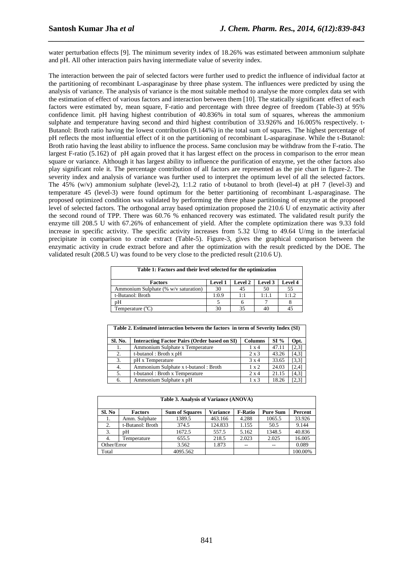water perturbation effects [9]. The minimum severity index of 18.26% was estimated between ammonium sulphate and pH. All other interaction pairs having intermediate value of severity index.

*\_\_\_\_\_\_\_\_\_\_\_\_\_\_\_\_\_\_\_\_\_\_\_\_\_\_\_\_\_\_\_\_\_\_\_\_\_\_\_\_\_\_\_\_\_\_\_\_\_\_\_\_\_\_\_\_\_\_\_\_\_\_\_\_\_\_\_\_\_\_\_\_\_\_\_\_\_\_*

The interaction between the pair of selected factors were further used to predict the influence of individual factor at the partitioning of recombinant L-asparaginase by three phase system. The influences were predicted by using the analysis of variance. The analysis of variance is the most suitable method to analyse the more complex data set with the estimation of effect of various factors and interaction between them [10]. The statically significant effect of each factors were estimated by, mean square, F-ratio and percentage with three degree of freedom (Table-3) at 95% confidence limit. pH having highest contribution of 40.836% in total sum of squares, whereas the ammonium sulphate and temperature having second and third highest contribution of 33.926% and 16.005% respectively. t-Butanol: Broth ratio having the lowest contribution (9.144%) in the total sum of squares. The highest percentage of pH reflects the most influential effect of it on the partitioning of recombinant L-asparaginase. While the t-Butanol: Broth ratio having the least ability to influence the process. Same conclusion may be withdraw from the F-ratio. The largest F-ratio (5.162) of pH again proved that it has largest effect on the process in comparison to the error mean square or variance. Although it has largest ability to influence the purification of enzyme, yet the other factors also play significant role it. The percentage contribution of all factors are represented as the pie chart in figure-2. The severity index and analysis of variance was further used to interpret the optimum level of all the selected factors. The 45% (w/v) ammonium sulphate (level-2), 1:1.2 ratio of t-butanol to broth (level-4) at pH 7 (level-3) and temperature 45 (level-3) were found optimum for the better partitioning of recombinant L-asparaginase. The proposed optimized condition was validated by performing the three phase partitioning of enzyme at the proposed level of selected factors. The orthogonal array based optimization proposed the 210.6 U of enzymatic activity after the second round of TPP. There was 60.76 % enhanced recovery was estimated. The validated result purify the enzyme till 208.5 U with 67.26% of enhancement of yield. After the complete optimization there was 9.33 fold increase in specific activity. The specific activity increases from 5.32 U/mg to 49.64 U/mg in the interfacial precipitate in comparison to crude extract (Table-5). Figure-3, gives the graphical comparison between the enzymatic activity in crude extract before and after the optimization with the result predicted by the DOE. The validated result (208.5 U) was found to be very close to the predicted result (210.6 U).

| Table 1: Factors and their level selected for the optimization |                |         |         |                |  |  |
|----------------------------------------------------------------|----------------|---------|---------|----------------|--|--|
| <b>Factors</b>                                                 | <b>Level 1</b> | Level 2 | Level 3 | <b>Level 4</b> |  |  |
| Ammonium Sulphate (% w/v saturation)                           | 30             | 45      | 50      | 55             |  |  |
| t-Butanol: Broth                                               | 1:0.9          | 1:1     | 1:1.1   | 1:1.2          |  |  |
| pΗ                                                             |                |         |         |                |  |  |
| Temperature (°C)                                               |                | 35      | 40      |                |  |  |

| Table 2: Estimated interaction between the factors in term of Severity Index (ST) |                                                     |                |       |       |  |
|-----------------------------------------------------------------------------------|-----------------------------------------------------|----------------|-------|-------|--|
| Sl. No.                                                                           | <b>Interacting Factor Pairs (Order based on SI)</b> | <b>Columns</b> | SI%   | Opt.  |  |
| 1.                                                                                | Ammonium Sulphate x Temperature                     | $1 \times 4$   | 47.11 | [2,3] |  |
| 2.                                                                                | t-butanol: Broth $x$ pH                             | $2 \times 3$   | 43.26 | [4,3] |  |
| 3.                                                                                | pH x Temperature                                    | $3 \times 4$   | 33.65 | [3,3] |  |
| 4.                                                                                | Ammonium Sulphate x t-butanol: Broth                | $1 \times 2$   | 24.03 | [2,4] |  |
| 5.                                                                                | t-butanol: Broth x Temperature                      | $2 \times 4$   | 21.15 | [4,3] |  |
| 6.                                                                                | Ammonium Sulphate x pH                              | $1 \times 3$   | 18.26 | [2,3] |  |

**Table 2. Estimated interaction between the factors in term of Severity Index (SI)** 

| Table 3. Analysis of Variance (ANOVA) |                  |                       |          |                |                 |         |  |
|---------------------------------------|------------------|-----------------------|----------|----------------|-----------------|---------|--|
| Sl. No                                | <b>Factors</b>   | <b>Sum of Squares</b> | Variance | <b>F-Ratio</b> | <b>Pure Sum</b> | Percent |  |
| 1.                                    | Amm. Sulphate    | 1389.5                | 463.166  | 4.288          | 1065.5          | 33.926  |  |
| 2.                                    | t-Butanol: Broth | 374.5                 | 124.833  | 1.155          | 50.5            | 9.144   |  |
| 3.                                    | pΗ               | 1672.5                | 557.5    | 5.162          | 1348.5          | 40.836  |  |
| 4.                                    | Temperature      | 655.5                 | 218.5    | 2.023          | 2.025           | 16.005  |  |
| Other/Error                           |                  | 3.562                 | 1.873    | $-$            |                 | 0.089   |  |
| Total                                 |                  | 4095.562              |          |                |                 | 100.00% |  |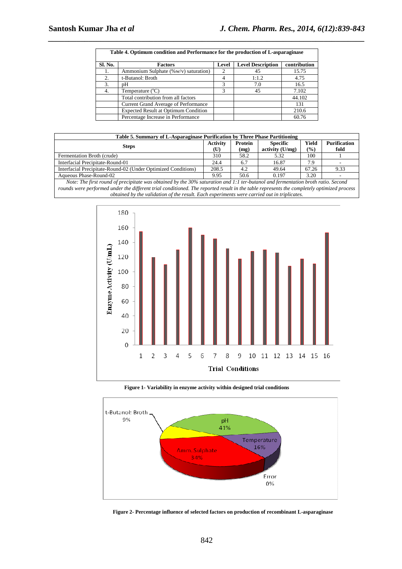| Table 4. Optimum condition and Performance for the production of L-asparaginase |                                             |                             |                          |              |  |  |
|---------------------------------------------------------------------------------|---------------------------------------------|-----------------------------|--------------------------|--------------|--|--|
| Sl. No.                                                                         | <b>Factors</b>                              | Level                       | <b>Level Description</b> | contribution |  |  |
|                                                                                 | Ammonium Sulphate $(\% w/v)$ saturation)    | $\mathcal{D}_{\mathcal{L}}$ | 45                       | 15.75        |  |  |
| 2.                                                                              | t-Butanol: Broth                            |                             | 1:1.2                    | 4.75         |  |  |
| 3.                                                                              | pΗ                                          | 3                           | 7.0                      | 16.5         |  |  |
| 4.                                                                              | Temperature $(^{\circ}C)$                   | 3                           | 45                       | 7.102        |  |  |
|                                                                                 | Total contribution from all factors         |                             |                          | 44.102       |  |  |
|                                                                                 | Current Grand Average of Performance        |                             |                          | 131          |  |  |
|                                                                                 | <b>Expected Result at Optimum Condition</b> |                             |                          | 210.6        |  |  |
|                                                                                 | Percentage Increase in Performance          |                             |                          | 60.76        |  |  |

*\_\_\_\_\_\_\_\_\_\_\_\_\_\_\_\_\_\_\_\_\_\_\_\_\_\_\_\_\_\_\_\_\_\_\_\_\_\_\_\_\_\_\_\_\_\_\_\_\_\_\_\_\_\_\_\_\_\_\_\_\_\_\_\_\_\_\_\_\_\_\_\_\_\_\_\_\_\_*

| Table 5. Summary of L-Asparaginase Purification by Three Phase Partitioning |                 |                |                   |               |                     |  |
|-----------------------------------------------------------------------------|-----------------|----------------|-------------------|---------------|---------------------|--|
|                                                                             | <b>Activity</b> | <b>Protein</b> | <b>Specific</b>   | Yield         | <b>Purification</b> |  |
| <b>Steps</b>                                                                | $\mathbf{U}$    | (mg)           | activity $(U/mg)$ | $\frac{9}{6}$ | fold                |  |
| Fermentation Broth (crude)                                                  | 310             | 58.2           | 5.32              | 100           |                     |  |
| Interfacial Precipitate-Round-01                                            | 24.4            | 6.7            | 16.87             | 7.9           |                     |  |
| Interfacial Precipitate-Round-02 (Under Optimized Conditions)               | 208.5           | 4.2            | 49.64             | 67.26         | 9.33                |  |
| Aqueous Phase-Round-02                                                      | 9.95            | 50.6           | 0.197             | 3.20          |                     |  |

*Note: The first round of precipitate was obtained by the 30% saturation and 1:1 ter-butanol and fermentation broth ratio. Second rounds were performed under the different trial conditioned. The reported result in the table represents the completely optimized process obtained by the validation of the result. Each experiments were carried out in triplicates.* 



**Figure 1- Variability in enzyme activity within designed trial conditions** 



 **Figure 2- Percentage influence of selected factors on production of recombinant L-asparaginase**